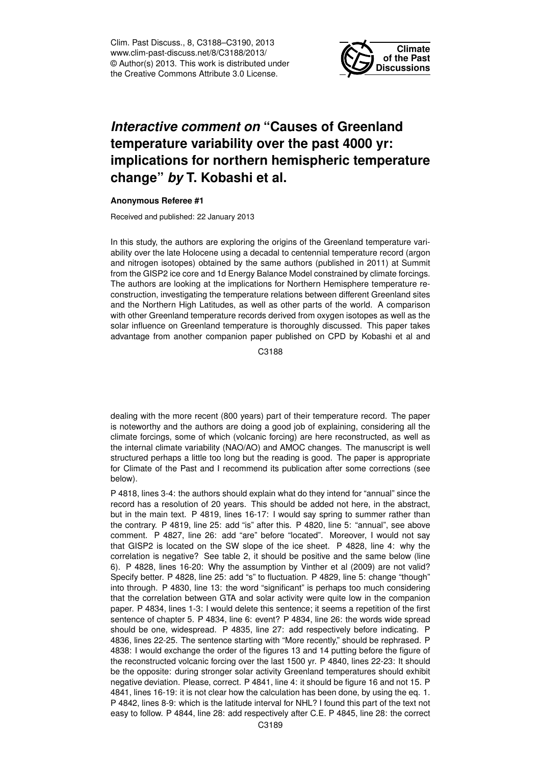Clim. Past Discuss., 8, C3188–C3190, 2013 www.clim-past-discuss.net/8/C3188/2013/ © Author(s) 2013. This work is distributed under the Creative Commons Attribute 3.0 License.



## *Interactive comment on* **"Causes of Greenland temperature variability over the past 4000 yr: implications for northern hemispheric temperature change"** *by* **T. Kobashi et al.**

## **Anonymous Referee #1**

Received and published: 22 January 2013

In this study, the authors are exploring the origins of the Greenland temperature variability over the late Holocene using a decadal to centennial temperature record (argon and nitrogen isotopes) obtained by the same authors (published in 2011) at Summit from the GISP2 ice core and 1d Energy Balance Model constrained by climate forcings. The authors are looking at the implications for Northern Hemisphere temperature reconstruction, investigating the temperature relations between different Greenland sites and the Northern High Latitudes, as well as other parts of the world. A comparison with other Greenland temperature records derived from oxygen isotopes as well as the solar influence on Greenland temperature is thoroughly discussed. This paper takes advantage from another companion paper published on CPD by Kobashi et al and

C3188

dealing with the more recent (800 years) part of their temperature record. The paper is noteworthy and the authors are doing a good job of explaining, considering all the climate forcings, some of which (volcanic forcing) are here reconstructed, as well as the internal climate variability (NAO/AO) and AMOC changes. The manuscript is well structured perhaps a little too long but the reading is good. The paper is appropriate for Climate of the Past and I recommend its publication after some corrections (see below).

P 4818, lines 3-4: the authors should explain what do they intend for "annual" since the record has a resolution of 20 years. This should be added not here, in the abstract, but in the main text. P 4819, lines 16-17: I would say spring to summer rather than the contrary. P 4819, line 25: add "is" after this. P 4820, line 5: "annual", see above comment. P 4827, line 26: add "are" before "located". Moreover, I would not say that GISP2 is located on the SW slope of the ice sheet. P 4828, line 4: why the correlation is negative? See table 2, it should be positive and the same below (line 6). P 4828, lines 16-20: Why the assumption by Vinther et al (2009) are not valid? Specify better. P 4828, line 25: add "s" to fluctuation. P 4829, line 5: change "though" into through. P 4830, line 13: the word "significant" is perhaps too much considering that the correlation between GTA and solar activity were quite low in the companion paper. P 4834, lines 1-3: I would delete this sentence; it seems a repetition of the first sentence of chapter 5. P 4834, line 6: event? P 4834, line 26: the words wide spread should be one, widespread. P 4835, line 27: add respectively before indicating. P 4836, lines 22-25. The sentence starting with "More recently," should be rephrased. P 4838: I would exchange the order of the figures 13 and 14 putting before the figure of the reconstructed volcanic forcing over the last 1500 yr. P 4840, lines 22-23: It should be the opposite: during stronger solar activity Greenland temperatures should exhibit negative deviation. Please, correct. P 4841, line 4: it should be figure 16 and not 15. P 4841, lines 16-19: it is not clear how the calculation has been done, by using the eq. 1. P 4842, lines 8-9: which is the latitude interval for NHL? I found this part of the text not easy to follow. P 4844, line 28: add respectively after C.E. P 4845, line 28: the correct